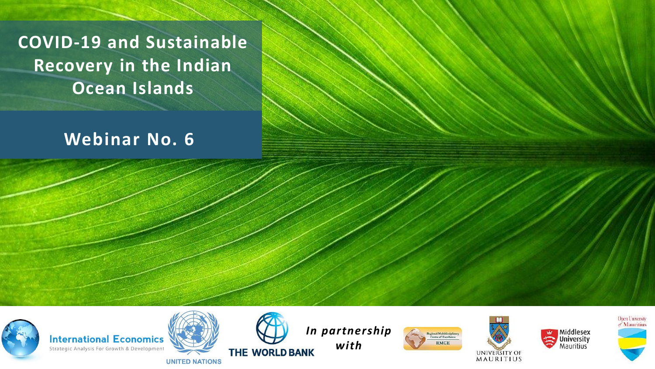**COVID-19 and Sustainable Recovery in the Indian Ocean Islands**

### **Webinar No. 6**



**International Economics** Strategic Analysis For Growth & Development





*In partnership with*

ntre of Excellene **RMCE** 





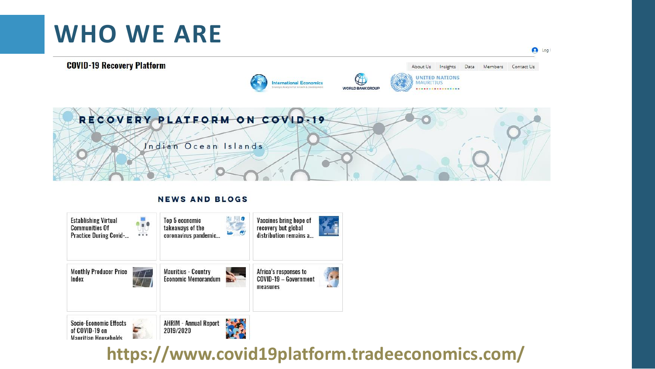## **WHO WE ARE**



#### **NEWS AND BLOGS**



#### **https://www.covid19platform.tradeeconomics.com/**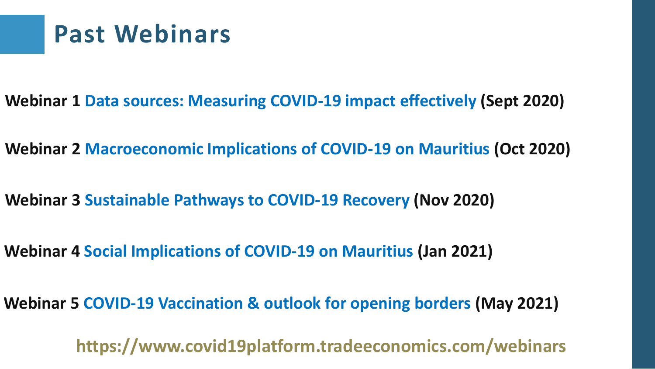### **Past Webinars**

- **Webinar 1 Data sources: Measuring COVID-19 impact effectively (Sept 2020)**
- **Webinar 2 Macroeconomic Implications of COVID-19 on Mauritius (Oct 2020)**
- **Webinar 3 Sustainable Pathways to COVID-19 Recovery (Nov 2020)**
- **Webinar 4 Social Implications of COVID-19 on Mauritius (Jan 2021)**
- **Webinar 5 COVID-19 Vaccination & outlook for opening borders (May 2021)**

**https://www.covid19platform.tradeeconomics.com/webinars**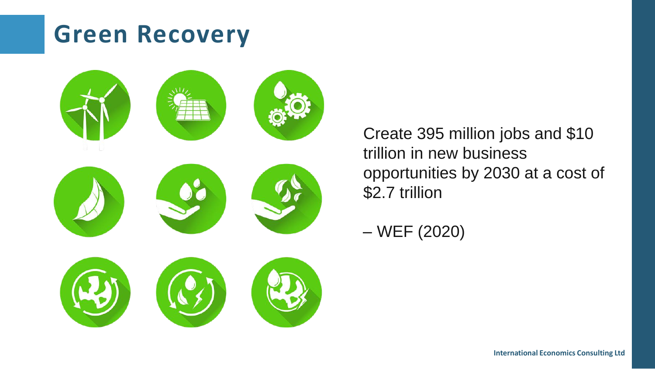## **Green Recovery**



Create 395 million jobs and \$10 trillion in new business opportunities by 2030 at a cost of \$2.7 trillion

– WEF (2020)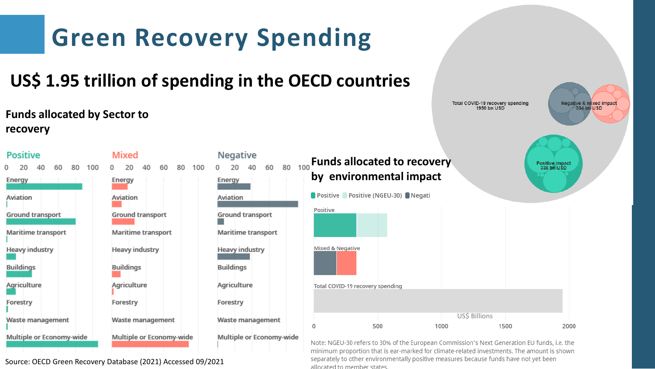

allocated to member states.

Source: OECD Green Recovery Database (2021) Accessed 09/2021